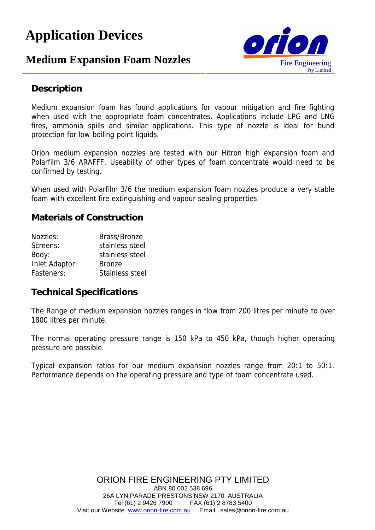# **Application Devices**

## **Medium Expansion Foam Nozzles** Fire Engineering



### **Description**

Medium expansion foam has found applications for vapour mitigation and fire fighting when used with the appropriate foam concentrates. Applications include LPG and LNG fires, ammonia spills and similar applications. This type of nozzle is ideal for bund protection for low boiling point liquids.

Orion medium expansion nozzles are tested with our Hitron high expansion foam and Polarfilm 3/6 ARAFFF. Useability of other types of foam concentrate would need to be confirmed by testing.

When used with Polarfilm 3/6 the medium expansion foam nozzles produce a very stable foam with excellent fire extinguishing and vapour sealing properties.

**Materials of Construction**

| Nozzles:       | Brass/Bronze    |
|----------------|-----------------|
| Screens:       | stainless steel |
| Body:          | stainless steel |
| Inlet Adaptor: | <b>Bronze</b>   |
| Fasteners:     | Stainless steel |

#### **Technical Specifications**

The Range of medium expansion nozzles ranges in flow from 200 litres per minute to over 1800 litres per minute.

The normal operating pressure range is 150 kPa to 450 kPa, though higher operating pressure are possible.

Typical expansion ratios for our medium expansion nozzles range from 20:1 to 50:1. Performance depends on the operating pressure and type of foam concentrate used.